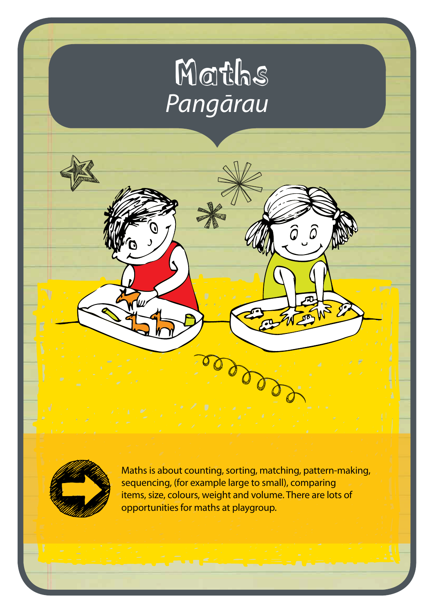# Maths *Pangārau*



Maths is about counting, sorting, matching, pattern-making, sequencing, (for example large to small), comparing items, size, colours, weight and volume. There are lots of opportunities for maths at playgroup.

 $\widehat{\mathcal{G}}$  ,  $\widehat{\mathcal{Q}}$